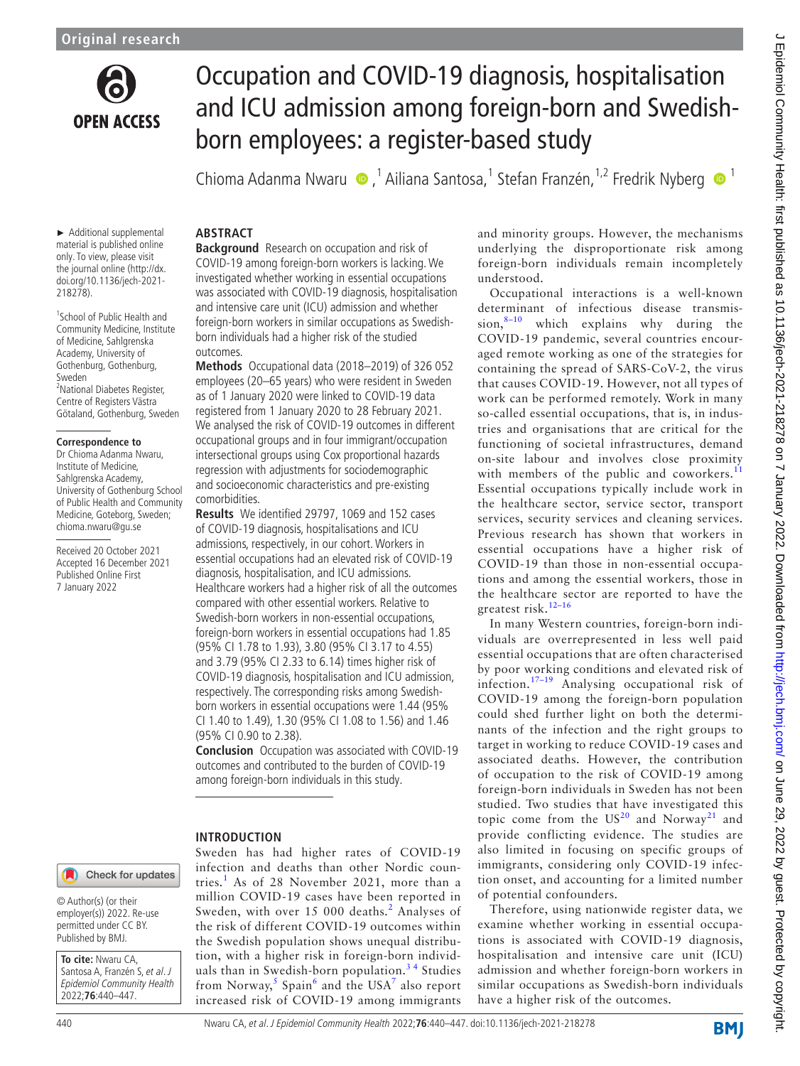

# Occupation and COVID-19 diagnosis, hospitalisation and ICU admission among foreign-born and Swedishborn employees: a register-based study

Chioma Adanma Nwaru 
ing <sup>1</sup> Ailiana Santosa, <sup>1</sup> Stefan Franzén, <sup>1,2</sup> Fredrik Nyberg ing 1

### ► Additional supplemental material is published online **ABSTRACT**

only. To view, please visit the journal online [\(http://dx.](http://dx.doi.org/10.1136/jech-2021-218278) [doi.org/10.1136/jech-2021-](http://dx.doi.org/10.1136/jech-2021-218278) [218278](http://dx.doi.org/10.1136/jech-2021-218278)).

1 School of Public Health and Community Medicine, Institute of Medicine, Sahlgrenska Academy, University of Gothenburg, Gothenburg, Sweden 2 National Diabetes Register, Centre of Registers Västra Götaland, Gothenburg, Sweden

### **Correspondence to**

Dr Chioma Adanma Nwaru, Institute of Medicine, Sahlgrenska Academy, University of Gothenburg School of Public Health and Community Medicine, Goteborg, Sweden; chioma.nwaru@gu.se

Received 20 October 2021 Accepted 16 December 2021 Published Online First 7 January 2022

**Background** Research on occupation and risk of COVID-19 among foreign-born workers is lacking. We investigated whether working in essential occupations was associated with COVID-19 diagnosis, hospitalisation and intensive care unit (ICU) admission and whether foreign-born workers in similar occupations as Swedishborn individuals had a higher risk of the studied outcomes.

**Methods** Occupational data (2018–2019) of 326 052 employees (20–65 years) who were resident in Sweden as of 1 January 2020 were linked to COVID-19 data registered from 1 January 2020 to 28 February 2021. We analysed the risk of COVID-19 outcomes in different occupational groups and in four immigrant/occupation intersectional groups using Cox proportional hazards regression with adjustments for sociodemographic and socioeconomic characteristics and pre-existing comorbidities.

**Results** We identified 29797, 1069 and 152 cases of COVID-19 diagnosis, hospitalisations and ICU admissions, respectively, in our cohort. Workers in essential occupations had an elevated risk of COVID-19 diagnosis, hospitalisation, and ICU admissions. Healthcare workers had a higher risk of all the outcomes compared with other essential workers. Relative to Swedish-born workers in non-essential occupations, foreign-born workers in essential occupations had 1.85 (95% CI 1.78 to 1.93), 3.80 (95% CI 3.17 to 4.55) and 3.79 (95% CI 2.33 to 6.14) times higher risk of COVID-19 diagnosis, hospitalisation and ICU admission, respectively. The corresponding risks among Swedishborn workers in essential occupations were 1.44 (95% CI 1.40 to 1.49), 1.30 (95% CI 1.08 to 1.56) and 1.46 (95% CI 0.90 to 2.38).

**Conclusion** Occupation was associated with COVID-19 outcomes and contributed to the burden of COVID-19 among foreign-born individuals in this study.

# **INTRODUCTION**

Sweden has had higher rates of COVID-19 infection and deaths than other Nordic coun-tries.<sup>[1](#page-7-0)</sup> As of 28 November 2021, more than a million COVID-19 cases have been reported in Sweden, with over 15 000 deaths.<sup>[2](#page-7-1)</sup> Analyses of the risk of different COVID-19 outcomes within the Swedish population shows unequal distribution, with a higher risk in foreign-born individuals than in Swedish-born population.<sup>34</sup> Studies from Norway,<sup>[5](#page-7-3)</sup> Spain<sup>[6](#page-7-4)</sup> and the USA<sup>[7](#page-7-5)</sup> also report increased risk of COVID-19 among immigrants

and minority groups. However, the mechanisms underlying the disproportionate risk among foreign-born individuals remain incompletely understood.

Occupational interactions is a well-known determinant of infectious disease transmis-<br>sion,  $8-10$  which explains why during the which explains why during the COVID-19 pandemic, several countries encouraged remote working as one of the strategies for containing the spread of SARS-CoV-2, the virus that causes COVID-19. However, not all types of work can be performed remotely. Work in many so-called essential occupations, that is, in industries and organisations that are critical for the functioning of societal infrastructures, demand on-site labour and involves close proximity with members of the public and coworkers.<sup>[11](#page-7-7)</sup> Essential occupations typically include work in the healthcare sector, service sector, transport services, security services and cleaning services. Previous research has shown that workers in essential occupations have a higher risk of COVID-19 than those in non-essential occupations and among the essential workers, those in the healthcare sector are reported to have the greatest risk.[12–16](#page-7-8)

In many Western countries, foreign-born individuals are overrepresented in less well paid essential occupations that are often characterised by poor working conditions and elevated risk of infection.[17–19](#page-7-9) Analysing occupational risk of COVID-19 among the foreign-born population could shed further light on both the determinants of the infection and the right groups to target in working to reduce COVID-19 cases and associated deaths. However, the contribution of occupation to the risk of COVID-19 among foreign-born individuals in Sweden has not been studied. Two studies that have investigated this topic come from the  $US^{20}$  $US^{20}$  $US^{20}$  and Norway<sup>21</sup> and provide conflicting evidence. The studies are also limited in focusing on specific groups of immigrants, considering only COVID-19 infection onset, and accounting for a limited number of potential confounders.

Therefore, using nationwide register data, we examine whether working in essential occupations is associated with COVID-19 diagnosis, hospitalisation and intensive care unit (ICU) admission and whether foreign-born workers in similar occupations as Swedish-born individuals have a higher risk of the outcomes.

© Author(s) (or their employer(s)) 2022. Re-use permitted under CC BY. Published by BMJ.

**To cite:** Nwaru CA, Santosa A, Franzén S, et al. J Epidemiol Community Health 2022;**76**:440–447.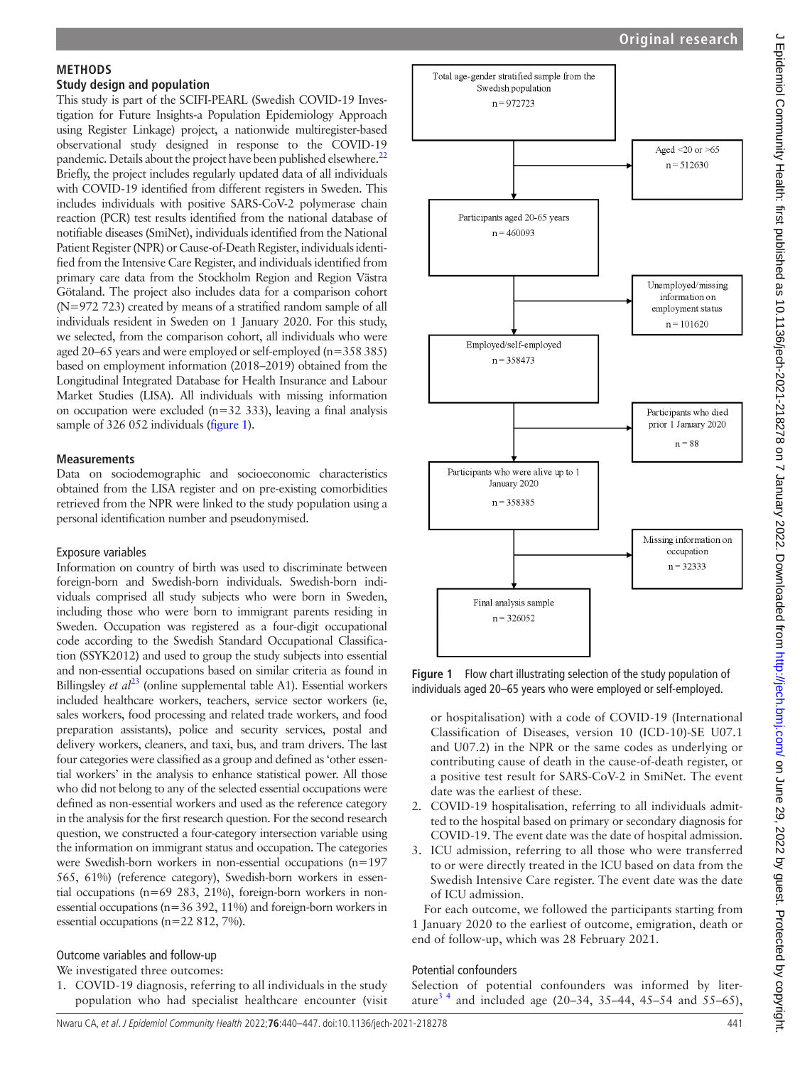# J Epidemiol Community Health: first published as 10.1136/jech-2021-218278 on 7 January 2022. Downloaded from http://jech.bmj.com/ on June 29, 2022 by guest. Protected by copyright J Epidemiol Community Health: first published as 10.1136/jech-2021-218278 on 7 January 2022. Downloaded from <http://jech.bmj.com/> on June 29, 2022 by guest. Protected by copyright.

# **METHODS**

### **Study design and population**

This study is part of the SCIFI-PEARL (Swedish COVID-19 Investigation for Future Insights-a Population Epidemiology Approach using Register Linkage) project, a nationwide multiregister-based observational study designed in response to the COVID-19 pandemic. Details about the project have been published elsewhere.<sup>22</sup> Briefly, the project includes regularly updated data of all individuals with COVID-19 identified from different registers in Sweden. This includes individuals with positive SARS-CoV-2 polymerase chain reaction (PCR) test results identified from the national database of notifiable diseases (SmiNet), individuals identified from the National Patient Register (NPR) or Cause-of-Death Register, individuals identified from the Intensive Care Register, and individuals identified from primary care data from the Stockholm Region and Region Västra Götaland. The project also includes data for a comparison cohort (N=972 723) created by means of a stratified random sample of all individuals resident in Sweden on 1 January 2020. For this study, we selected, from the comparison cohort, all individuals who were aged 20–65 years and were employed or self-employed (n=358 385) based on employment information (2018–2019) obtained from the Longitudinal Integrated Database for Health Insurance and Labour Market Studies (LISA). All individuals with missing information on occupation were excluded (n=32 333), leaving a final analysis sample of 326 052 individuals ([figure](#page-1-0) 1).

### **Measurements**

Data on sociodemographic and socioeconomic characteristics obtained from the LISA register and on pre-existing comorbidities retrieved from the NPR were linked to the study population using a personal identification number and pseudonymised.

# Exposure variables

Information on country of birth was used to discriminate between foreign-born and Swedish-born individuals. Swedish-born individuals comprised all study subjects who were born in Sweden, including those who were born to immigrant parents residing in Sweden. Occupation was registered as a four-digit occupational code according to the Swedish Standard Occupational Classification (SSYK2012) and used to group the study subjects into essential and non-essential occupations based on similar criteria as found in Billingsley *et al*<sup>23</sup> [\(online supplemental table A1\)](https://dx.doi.org/10.1136/jech-2021-218278). Essential workers included healthcare workers, teachers, service sector workers (ie, sales workers, food processing and related trade workers, and food preparation assistants), police and security services, postal and delivery workers, cleaners, and taxi, bus, and tram drivers. The last four categories were classified as a group and defined as 'other essential workers' in the analysis to enhance statistical power. All those who did not belong to any of the selected essential occupations were defined as non-essential workers and used as the reference category in the analysis for the first research question. For the second research question, we constructed a four-category intersection variable using the information on immigrant status and occupation. The categories were Swedish-born workers in non-essential occupations (n=197 565, 61%) (reference category), Swedish-born workers in essential occupations (n=69 283, 21%), foreign-born workers in nonessential occupations (n=36 392, 11%) and foreign-born workers in essential occupations (n=22 812, 7%).

# Outcome variables and follow-up

We investigated three outcomes:

1. COVID-19 diagnosis, referring to all individuals in the study population who had specialist healthcare encounter (visit



<span id="page-1-0"></span>**Figure 1** Flow chart illustrating selection of the study population of individuals aged 20–65 years who were employed or self-employed.

or hospitalisation) with a code of COVID-19 (International Classification of Diseases, version 10 (ICD-10)-SE U07.1 and U07.2) in the NPR or the same codes as underlying or contributing cause of death in the cause-of-death register, or a positive test result for SARS-CoV-2 in SmiNet. The event date was the earliest of these.

- 2. COVID-19 hospitalisation, referring to all individuals admitted to the hospital based on primary or secondary diagnosis for COVID-19. The event date was the date of hospital admission.
- 3. ICU admission, referring to all those who were transferred to or were directly treated in the ICU based on data from the Swedish Intensive Care register. The event date was the date of ICU admission.

For each outcome, we followed the participants starting from 1 January 2020 to the earliest of outcome, emigration, death or end of follow-up, which was 28 February 2021.

# Potential confounders

Selection of potential confounders was informed by literature<sup>3,4</sup> and included age (20–34, 35–44, 45–54 and 55–65),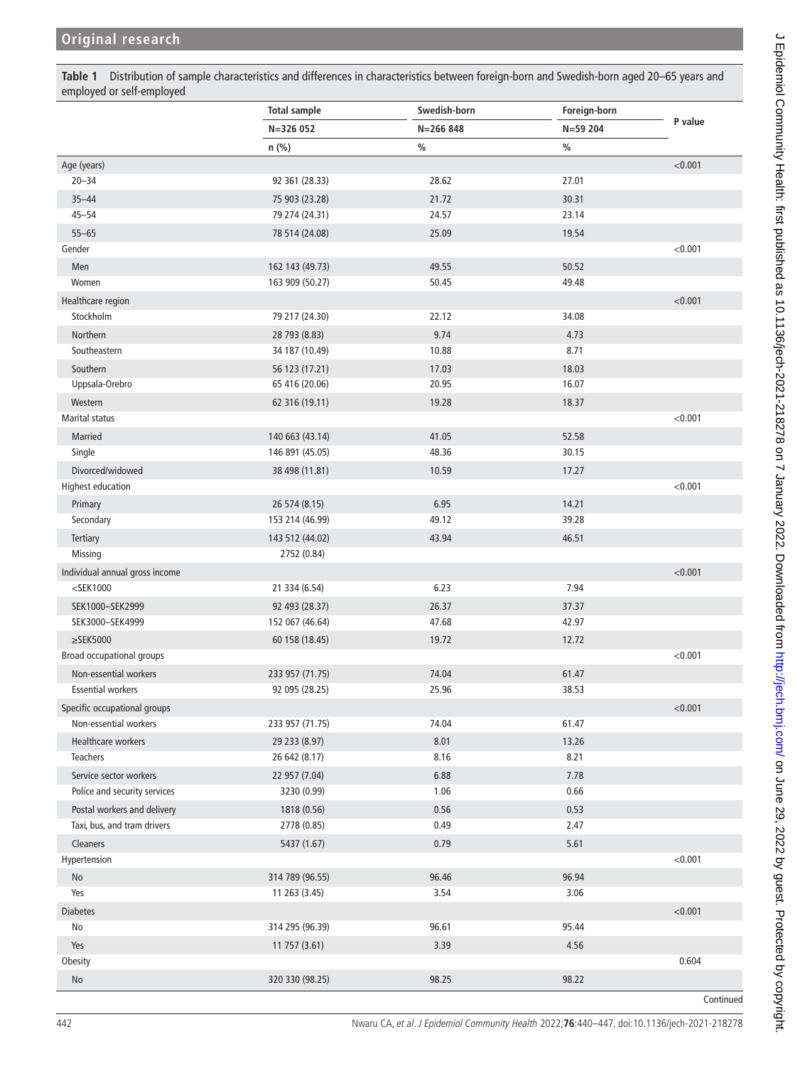<span id="page-2-0"></span>**Table 1** Distribution of sample characteristics and differences in characteristics between foreign-born and Swedish-born aged 20–65 years and employed or self-employed

|                                | <b>Total sample</b> | Swedish-born | Foreign-born  |           |
|--------------------------------|---------------------|--------------|---------------|-----------|
|                                | N=326 052           | $N = 266848$ | $N = 59204$   | P value   |
|                                | $n$ (%)             | $\%$         | $\frac{0}{0}$ |           |
| Age (years)                    |                     |              |               | < 0.001   |
| $20 - 34$                      | 92 361 (28.33)      | 28.62        | 27.01         |           |
| $35 - 44$                      | 75 903 (23.28)      | 21.72        | 30.31         |           |
| $45 - 54$                      | 79 274 (24.31)      | 24.57        | 23.14         |           |
| $55 - 65$                      | 78 514 (24.08)      | 25.09        | 19.54         |           |
| Gender                         |                     |              |               | < 0.001   |
| Men                            | 162 143 (49.73)     | 49.55        | 50.52         |           |
| Women                          | 163 909 (50.27)     | 50.45        | 49.48         |           |
| Healthcare region              |                     |              |               | < 0.001   |
| Stockholm                      | 79 217 (24.30)      | 22.12        | 34.08         |           |
| Northern                       | 28 793 (8.83)       | 9.74         | 4.73          |           |
| Southeastern                   | 34 187 (10.49)      | 10.88        | 8.71          |           |
| Southern                       | 56 123 (17.21)      | 17.03        | 18.03         |           |
| Uppsala-Orebro                 | 65 416 (20.06)      | 20.95        | 16.07         |           |
| Western                        | 62 316 (19.11)      | 19.28        | 18.37         |           |
| Marital status                 |                     |              |               | < 0.001   |
| Married                        | 140 663 (43.14)     | 41.05        | 52.58         |           |
| Single                         | 146 891 (45.05)     | 48.36        | 30.15         |           |
| Divorced/widowed               | 38 498 (11.81)      | 10.59        | 17.27         |           |
| <b>Highest education</b>       |                     |              |               | < 0.001   |
| Primary                        | 26 574 (8.15)       | 6.95         | 14.21         |           |
| Secondary                      | 153 214 (46.99)     | 49.12        | 39.28         |           |
| Tertiary                       | 143 512 (44.02)     | 43.94        | 46.51         |           |
| Missing                        | 2752 (0.84)         |              |               |           |
| Individual annual gross income |                     |              |               | < 0.001   |
| $<$ SEK1000                    | 21 334 (6.54)       | 6.23         | 7.94          |           |
| SEK1000-SEK2999                | 92 493 (28.37)      | 26.37        | 37.37         |           |
| SEK3000-SEK4999                | 152 067 (46.64)     | 47.68        | 42.97         |           |
| $\geq$ SEK5000                 | 60 158 (18.45)      | 19.72        | 12.72         |           |
| Broad occupational groups      |                     |              |               | < 0.001   |
| Non-essential workers          | 233 957 (71.75)     | 74.04        | 61.47         |           |
| <b>Essential workers</b>       | 92 095 (28.25)      | 25.96        | 38.53         |           |
| Specific occupational groups   |                     |              |               | < 0.001   |
| Non-essential workers          | 233 957 (71.75)     | 74.04        | 61.47         |           |
| Healthcare workers             | 29 233 (8.97)       | 8.01         | 13.26         |           |
| Teachers                       | 26 642 (8.17)       | 8.16         | 8.21          |           |
| Service sector workers         | 22 957 (7.04)       | 6.88         | 7.78          |           |
| Police and security services   | 3230 (0.99)         | 1.06         | 0.66          |           |
| Postal workers and delivery    | 1818 (0.56)         | 0.56         | 0.53          |           |
| Taxi, bus, and tram drivers    | 2778 (0.85)         | 0.49         | 2.47          |           |
| <b>Cleaners</b>                | 5437 (1.67)         | 0.79         | 5.61          |           |
| Hypertension                   |                     |              |               | < 0.001   |
| No                             | 314 789 (96.55)     | 96.46        | 96.94         |           |
| Yes                            | 11 263 (3.45)       | 3.54         | 3.06          |           |
| <b>Diabetes</b>                |                     |              |               | < 0.001   |
| No                             | 314 295 (96.39)     | 96.61        | 95.44         |           |
| Yes                            | 11 757 (3.61)       | 3.39         | 4.56          |           |
| Obesity                        |                     |              |               | 0.604     |
| No                             | 320 330 (98.25)     | 98.25        | 98.22         |           |
|                                |                     |              |               | Continued |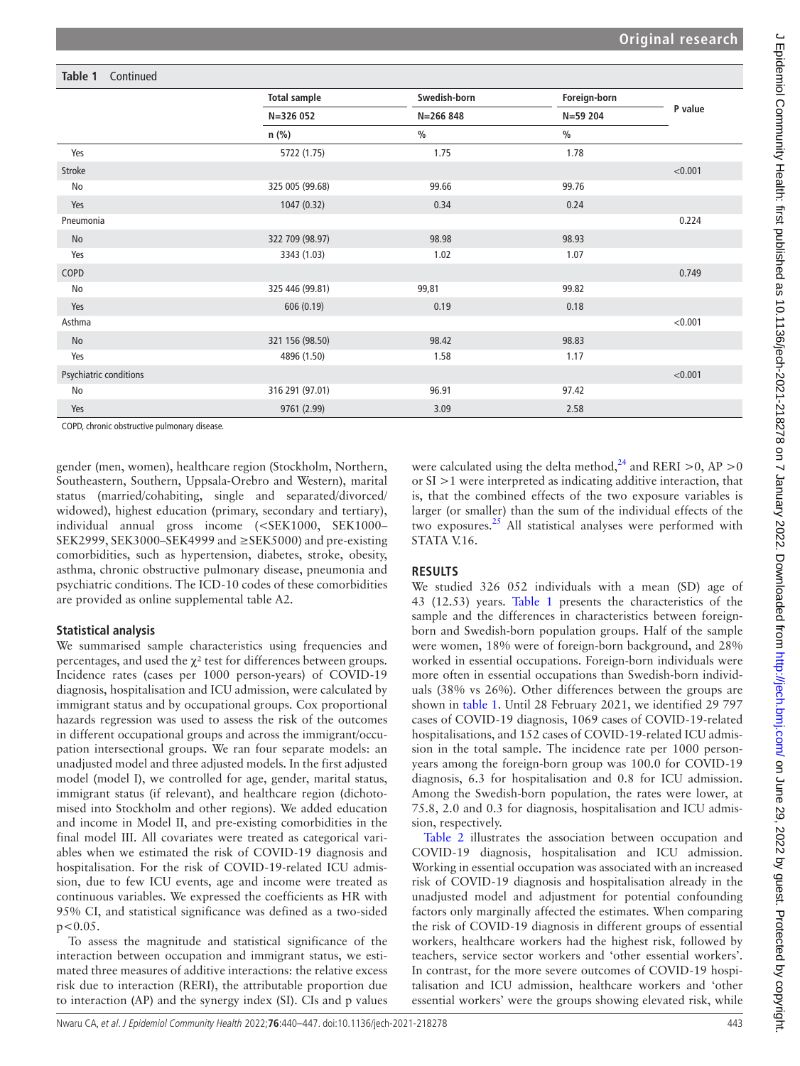# **Table 1** Continued

|                        | <b>Total sample</b> | Swedish-born  | Foreign-born  |         |
|------------------------|---------------------|---------------|---------------|---------|
|                        | N=326 052           | $N = 266848$  | N=59 204      | P value |
|                        | $n$ (%)             | $\frac{0}{0}$ | $\frac{0}{0}$ |         |
| Yes                    | 5722 (1.75)         | 1.75          | 1.78          |         |
| Stroke                 |                     |               |               | < 0.001 |
| No                     | 325 005 (99.68)     | 99.66         | 99.76         |         |
| Yes                    | 1047 (0.32)         | 0.34          | 0.24          |         |
| Pneumonia              |                     |               |               | 0.224   |
| No                     | 322 709 (98.97)     | 98.98         | 98.93         |         |
| Yes                    | 3343 (1.03)         | 1.02          | 1.07          |         |
| COPD                   |                     |               |               | 0.749   |
| No                     | 325 446 (99.81)     | 99,81         | 99.82         |         |
| Yes                    | 606 (0.19)          | 0.19          | 0.18          |         |
| Asthma                 |                     |               |               | < 0.001 |
| No                     | 321 156 (98.50)     | 98.42         | 98.83         |         |
| Yes                    | 4896 (1.50)         | 1.58          | 1.17          |         |
| Psychiatric conditions |                     |               |               | < 0.001 |
| No                     | 316 291 (97.01)     | 96.91         | 97.42         |         |
| Yes                    | 9761 (2.99)         | 3.09          | 2.58          |         |

COPD, chronic obstructive pulmonary disease.

gender (men, women), healthcare region (Stockholm, Northern, Southeastern, Southern, Uppsala-Orebro and Western), marital status (married/cohabiting, single and separated/divorced/ widowed), highest education (primary, secondary and tertiary), individual annual gross income (<SEK1000, SEK1000– SEK2999, SEK3000–SEK4999 and ≥SEK5000) and pre-existing comorbidities, such as hypertension, diabetes, stroke, obesity, asthma, chronic obstructive pulmonary disease, pneumonia and psychiatric conditions. The ICD-10 codes of these comorbidities are provided as [online supplemental table A2](https://dx.doi.org/10.1136/jech-2021-218278).

# **Statistical analysis**

We summarised sample characteristics using frequencies and percentages, and used the  $\gamma^2$  test for differences between groups. Incidence rates (cases per 1000 person-years) of COVID-19 diagnosis, hospitalisation and ICU admission, were calculated by immigrant status and by occupational groups. Cox proportional hazards regression was used to assess the risk of the outcomes in different occupational groups and across the immigrant/occupation intersectional groups. We ran four separate models: an unadjusted model and three adjusted models. In the first adjusted model (model I), we controlled for age, gender, marital status, immigrant status (if relevant), and healthcare region (dichotomised into Stockholm and other regions). We added education and income in Model II, and pre-existing comorbidities in the final model III. All covariates were treated as categorical variables when we estimated the risk of COVID-19 diagnosis and hospitalisation. For the risk of COVID-19-related ICU admission, due to few ICU events, age and income were treated as continuous variables. We expressed the coefficients as HR with 95% CI, and statistical significance was defined as a two-sided  $p < 0.05$ .

To assess the magnitude and statistical significance of the interaction between occupation and immigrant status, we estimated three measures of additive interactions: the relative excess risk due to interaction (RERI), the attributable proportion due to interaction (AP) and the synergy index (SI). CIs and p values

were calculated using the delta method,  $^{24}$  and RERI >0, AP >0 or SI >1 were interpreted as indicating additive interaction, that is, that the combined effects of the two exposure variables is larger (or smaller) than the sum of the individual effects of the two exposures. $25$  All statistical analyses were performed with STATA V.16.

# **RESULTS**

We studied 326 052 individuals with a mean (SD) age of 43 (12.53) years. [Table](#page-2-0) 1 presents the characteristics of the sample and the differences in characteristics between foreignborn and Swedish-born population groups. Half of the sample were women, 18% were of foreign-born background, and 28% worked in essential occupations. Foreign-born individuals were more often in essential occupations than Swedish-born individuals (38% vs 26%). Other differences between the groups are shown in [table](#page-2-0) 1. Until 28 February 2021, we identified 29 797 cases of COVID-19 diagnosis, 1069 cases of COVID-19-related hospitalisations, and 152 cases of COVID-19-related ICU admission in the total sample. The incidence rate per 1000 personyears among the foreign-born group was 100.0 for COVID-19 diagnosis, 6.3 for hospitalisation and 0.8 for ICU admission. Among the Swedish-born population, the rates were lower, at 75.8, 2.0 and 0.3 for diagnosis, hospitalisation and ICU admission, respectively.

[Table](#page-4-0) 2 illustrates the association between occupation and COVID-19 diagnosis, hospitalisation and ICU admission. Working in essential occupation was associated with an increased risk of COVID-19 diagnosis and hospitalisation already in the unadjusted model and adjustment for potential confounding factors only marginally affected the estimates. When comparing the risk of COVID-19 diagnosis in different groups of essential workers, healthcare workers had the highest risk, followed by teachers, service sector workers and 'other essential workers'. In contrast, for the more severe outcomes of COVID-19 hospitalisation and ICU admission, healthcare workers and 'other essential workers' were the groups showing elevated risk, while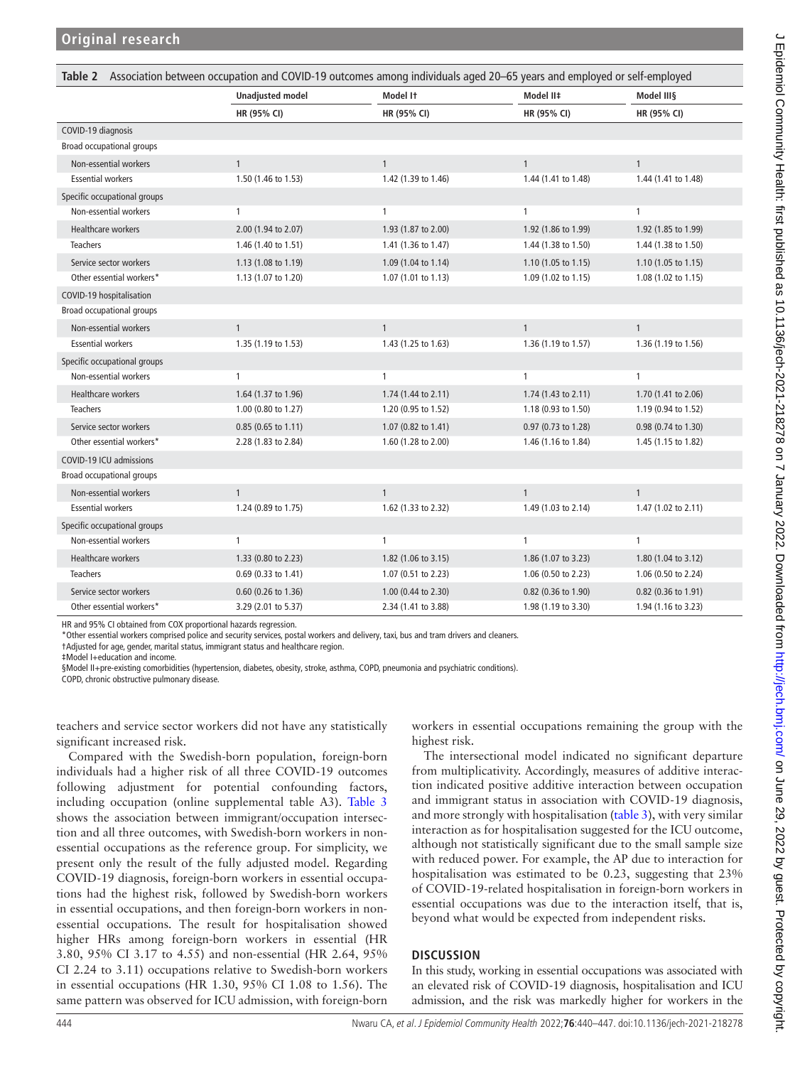<span id="page-4-0"></span>

| Association between occupation and COVID-19 outcomes among individuals aged 20-65 years and employed or self-employed<br>Table 2 |                         |                     |                     |                     |
|----------------------------------------------------------------------------------------------------------------------------------|-------------------------|---------------------|---------------------|---------------------|
|                                                                                                                                  | <b>Unadjusted model</b> | Model It            | Model II‡           | Model III§          |
|                                                                                                                                  | HR (95% CI)             | HR (95% CI)         | HR (95% CI)         | HR (95% CI)         |
| COVID-19 diagnosis                                                                                                               |                         |                     |                     |                     |
| Broad occupational groups                                                                                                        |                         |                     |                     |                     |
| Non-essential workers                                                                                                            | $\mathbf{1}$            | $\mathbf{1}$        | $\mathbf{1}$        | $\mathbf{1}$        |
| <b>Essential workers</b>                                                                                                         | 1.50 (1.46 to 1.53)     | 1.42 (1.39 to 1.46) | 1.44 (1.41 to 1.48) | 1.44 (1.41 to 1.48) |
| Specific occupational groups                                                                                                     |                         |                     |                     |                     |
| Non-essential workers                                                                                                            | $\mathbf{1}$            | 1                   | $\mathbf{1}$        | $\mathbf{1}$        |
| Healthcare workers                                                                                                               | 2.00 (1.94 to 2.07)     | 1.93 (1.87 to 2.00) | 1.92 (1.86 to 1.99) | 1.92 (1.85 to 1.99) |
| <b>Teachers</b>                                                                                                                  | 1.46 (1.40 to 1.51)     | 1.41 (1.36 to 1.47) | 1.44 (1.38 to 1.50) | 1.44 (1.38 to 1.50) |
| Service sector workers                                                                                                           | 1.13 (1.08 to 1.19)     | 1.09 (1.04 to 1.14) | 1.10 (1.05 to 1.15) | 1.10 (1.05 to 1.15) |
| Other essential workers*                                                                                                         | 1.13 (1.07 to 1.20)     | 1.07 (1.01 to 1.13) | 1.09 (1.02 to 1.15) | 1.08 (1.02 to 1.15) |
| COVID-19 hospitalisation                                                                                                         |                         |                     |                     |                     |
| Broad occupational groups                                                                                                        |                         |                     |                     |                     |
| Non-essential workers                                                                                                            | $\mathbf{1}$            | $\mathbf{1}$        | $\mathbf{1}$        | $\mathbf{1}$        |
| <b>Essential workers</b>                                                                                                         | 1.35 (1.19 to 1.53)     | 1.43 (1.25 to 1.63) | 1.36 (1.19 to 1.57) | 1.36 (1.19 to 1.56) |
| Specific occupational groups                                                                                                     |                         |                     |                     |                     |
| Non-essential workers                                                                                                            | 1                       | 1                   | $\mathbf{1}$        | 1                   |
| Healthcare workers                                                                                                               | 1.64 (1.37 to 1.96)     | 1.74 (1.44 to 2.11) | 1.74 (1.43 to 2.11) | 1.70 (1.41 to 2.06) |
| <b>Teachers</b>                                                                                                                  | 1.00 (0.80 to 1.27)     | 1.20 (0.95 to 1.52) | 1.18 (0.93 to 1.50) | 1.19 (0.94 to 1.52) |
| Service sector workers                                                                                                           | 0.85 (0.65 to 1.11)     | 1.07 (0.82 to 1.41) | 0.97 (0.73 to 1.28) | 0.98 (0.74 to 1.30) |
| Other essential workers*                                                                                                         | 2.28 (1.83 to 2.84)     | 1.60 (1.28 to 2.00) | 1.46 (1.16 to 1.84) | 1.45 (1.15 to 1.82) |
| COVID-19 ICU admissions                                                                                                          |                         |                     |                     |                     |
| Broad occupational groups                                                                                                        |                         |                     |                     |                     |
| Non-essential workers                                                                                                            | $\mathbf{1}$            | $\mathbf{1}$        | $\mathbf{1}$        | $\mathbf{1}$        |
| <b>Essential workers</b>                                                                                                         | 1.24 (0.89 to 1.75)     | 1.62 (1.33 to 2.32) | 1.49 (1.03 to 2.14) | 1.47 (1.02 to 2.11) |
| Specific occupational groups                                                                                                     |                         |                     |                     |                     |
| Non-essential workers                                                                                                            | 1                       | 1                   | $\mathbf{1}$        | 1                   |
| Healthcare workers                                                                                                               | 1.33 (0.80 to 2.23)     | 1.82 (1.06 to 3.15) | 1.86 (1.07 to 3.23) | 1.80 (1.04 to 3.12) |
| <b>Teachers</b>                                                                                                                  | 0.69 (0.33 to 1.41)     | 1.07 (0.51 to 2.23) | 1.06 (0.50 to 2.23) | 1.06 (0.50 to 2.24) |
| Service sector workers                                                                                                           | 0.60 (0.26 to 1.36)     | 1.00 (0.44 to 2.30) | 0.82 (0.36 to 1.90) | 0.82 (0.36 to 1.91) |
| Other essential workers*                                                                                                         | 3.29 (2.01 to 5.37)     | 2.34 (1.41 to 3.88) | 1.98 (1.19 to 3.30) | 1.94 (1.16 to 3.23) |

HR and 95% CI obtained from COX proportional hazards regression.

\*Other essential workers comprised police and security services, postal workers and delivery, taxi, bus and tram drivers and cleaners.

†Adjusted for age, gender, marital status, immigrant status and healthcare region.

‡Model I+education and income.

§Model II+pre-existing comorbidities (hypertension, diabetes, obesity, stroke, asthma, COPD, pneumonia and psychiatric conditions).

COPD, chronic obstructive pulmonary disease.

teachers and service sector workers did not have any statistically significant increased risk.

Compared with the Swedish-born population, foreign-born individuals had a higher risk of all three COVID-19 outcomes following adjustment for potential confounding factors, including occupation ([online supplemental table A3](https://dx.doi.org/10.1136/jech-2021-218278)). [Table](#page-5-0) 3 shows the association between immigrant/occupation intersection and all three outcomes, with Swedish-born workers in nonessential occupations as the reference group. For simplicity, we present only the result of the fully adjusted model. Regarding COVID-19 diagnosis, foreign-born workers in essential occupations had the highest risk, followed by Swedish-born workers in essential occupations, and then foreign-born workers in nonessential occupations. The result for hospitalisation showed higher HRs among foreign-born workers in essential (HR 3.80, 95% CI 3.17 to 4.55) and non-essential (HR 2.64, 95% CI 2.24 to 3.11) occupations relative to Swedish-born workers in essential occupations (HR 1.30, 95% CI 1.08 to 1.56). The same pattern was observed for ICU admission, with foreign-born

workers in essential occupations remaining the group with the highest risk.

The intersectional model indicated no significant departure from multiplicativity. Accordingly, measures of additive interaction indicated positive additive interaction between occupation and immigrant status in association with COVID-19 diagnosis, and more strongly with hospitalisation [\(table](#page-5-0) 3), with very similar interaction as for hospitalisation suggested for the ICU outcome, although not statistically significant due to the small sample size with reduced power. For example, the AP due to interaction for hospitalisation was estimated to be 0.23, suggesting that 23% of COVID-19-related hospitalisation in foreign-born workers in essential occupations was due to the interaction itself, that is, beyond what would be expected from independent risks.

### **DISCUSSION**

In this study, working in essential occupations was associated with an elevated risk of COVID-19 diagnosis, hospitalisation and ICU admission, and the risk was markedly higher for workers in the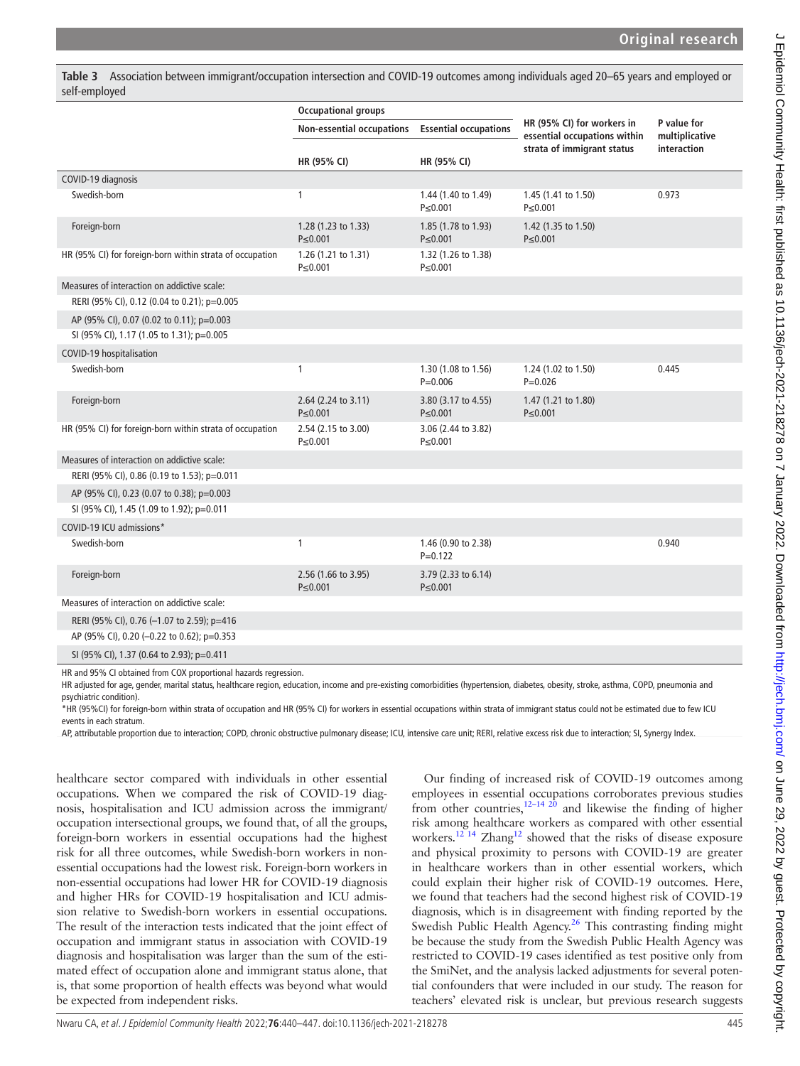$\epsilon$ 

<span id="page-5-0"></span>**Table 3** Association between immigrant/occupation intersection and COVID-19 outcomes among individuals aged 20–65 years and employed or self-employed

|                                                          | <b>Occupational groups</b>           |                                      |                                                            |                               |
|----------------------------------------------------------|--------------------------------------|--------------------------------------|------------------------------------------------------------|-------------------------------|
|                                                          | Non-essential occupations            | <b>Essential occupations</b>         | HR (95% CI) for workers in<br>essential occupations within | P value for<br>multiplicative |
|                                                          |                                      |                                      | strata of immigrant status                                 | interaction                   |
|                                                          | HR (95% CI)                          | HR (95% CI)                          |                                                            |                               |
| COVID-19 diagnosis                                       |                                      |                                      |                                                            |                               |
| Swedish-born                                             | 1                                    | 1.44 (1.40 to 1.49)<br>$P \le 0.001$ | 1.45 (1.41 to 1.50)<br>P≤0.001                             | 0.973                         |
| Foreign-born                                             | 1.28 (1.23 to 1.33)<br>$P \le 0.001$ | 1.85 (1.78 to 1.93)<br>$P \le 0.001$ | 1.42 (1.35 to 1.50)<br>$P \le 0.001$                       |                               |
| HR (95% CI) for foreign-born within strata of occupation | 1.26 (1.21 to 1.31)<br>P≤0.001       | 1.32 (1.26 to 1.38)<br>P≤0.001       |                                                            |                               |
| Measures of interaction on addictive scale:              |                                      |                                      |                                                            |                               |
| RERI (95% CI), 0.12 (0.04 to 0.21); p=0.005              |                                      |                                      |                                                            |                               |
| AP (95% CI), 0.07 (0.02 to 0.11); p=0.003                |                                      |                                      |                                                            |                               |
| SI (95% CI), 1.17 (1.05 to 1.31); p=0.005                |                                      |                                      |                                                            |                               |
| COVID-19 hospitalisation                                 |                                      |                                      |                                                            |                               |
| Swedish-born                                             | 1                                    | 1.30 (1.08 to 1.56)<br>$P = 0.006$   | 1.24 (1.02 to 1.50)<br>$P = 0.026$                         | 0.445                         |
| Foreign-born                                             | 2.64 (2.24 to 3.11)<br>P≤0.001       | 3.80 (3.17 to 4.55)<br>$P \le 0.001$ | 1.47 (1.21 to 1.80)<br>P≤0.001                             |                               |
| HR (95% CI) for foreign-born within strata of occupation | 2.54 (2.15 to 3.00)<br>P≤0.001       | 3.06 (2.44 to 3.82)<br>$P \le 0.001$ |                                                            |                               |
| Measures of interaction on addictive scale:              |                                      |                                      |                                                            |                               |
| RERI (95% CI), 0.86 (0.19 to 1.53); p=0.011              |                                      |                                      |                                                            |                               |
| AP (95% CI), 0.23 (0.07 to 0.38); p=0.003                |                                      |                                      |                                                            |                               |
| SI (95% CI), 1.45 (1.09 to 1.92); p=0.011                |                                      |                                      |                                                            |                               |
| COVID-19 ICU admissions*                                 |                                      |                                      |                                                            |                               |
| Swedish-born                                             | 1                                    | 1.46 (0.90 to 2.38)<br>$P = 0.122$   |                                                            | 0.940                         |
| Foreign-born                                             | 2.56 (1.66 to 3.95)<br>P≤0.001       | 3.79 (2.33 to 6.14)<br>$P \le 0.001$ |                                                            |                               |
| Measures of interaction on addictive scale:              |                                      |                                      |                                                            |                               |
| RERI (95% CI), 0.76 (-1.07 to 2.59); p=416               |                                      |                                      |                                                            |                               |
| AP (95% CI), 0.20 (-0.22 to 0.62); p=0.353               |                                      |                                      |                                                            |                               |
| SI (95% CI), 1.37 (0.64 to 2.93); p=0.411                |                                      |                                      |                                                            |                               |

HR and 95% CI obtained from COX proportional hazards regression.

HR adjusted for age, gender, marital status, healthcare region, education, income and pre-existing comorbidities (hypertension, diabetes, obesity, stroke, asthma, COPD, pneumonia and psychiatric condition).

\*HR (95%CI) for foreign-born within strata of occupation and HR (95% CI) for workers in essential occupations within strata of immigrant status could not be estimated due to few ICU events in each stratum.

AP, attributable proportion due to interaction; COPD, chronic obstructive pulmonary disease; ICU, intensive care unit; RERI, relative excess risk due to interaction; SI, Synergy Index.

healthcare sector compared with individuals in other essential occupations. When we compared the risk of COVID-19 diagnosis, hospitalisation and ICU admission across the immigrant/ occupation intersectional groups, we found that, of all the groups, foreign-born workers in essential occupations had the highest risk for all three outcomes, while Swedish-born workers in nonessential occupations had the lowest risk. Foreign-born workers in non-essential occupations had lower HR for COVID-19 diagnosis and higher HRs for COVID-19 hospitalisation and ICU admission relative to Swedish-born workers in essential occupations. The result of the interaction tests indicated that the joint effect of occupation and immigrant status in association with COVID-19 diagnosis and hospitalisation was larger than the sum of the estimated effect of occupation alone and immigrant status alone, that is, that some proportion of health effects was beyond what would be expected from independent risks.

Our finding of increased risk of COVID-19 outcomes among employees in essential occupations corroborates previous studies from other countries,  $12-14$   $20$  and likewise the finding of higher risk among healthcare workers as compared with other essential workers.<sup>12 14</sup> Zhang<sup>12</sup> showed that the risks of disease exposure and physical proximity to persons with COVID-19 are greater in healthcare workers than in other essential workers, which could explain their higher risk of COVID-19 outcomes. Here, we found that teachers had the second highest risk of COVID-19 diagnosis, which is in disagreement with finding reported by the Swedish Public Health Agency.<sup>26</sup> This contrasting finding might be because the study from the Swedish Public Health Agency was restricted to COVID-19 cases identified as test positive only from the SmiNet, and the analysis lacked adjustments for several potential confounders that were included in our study. The reason for teachers' elevated risk is unclear, but previous research suggests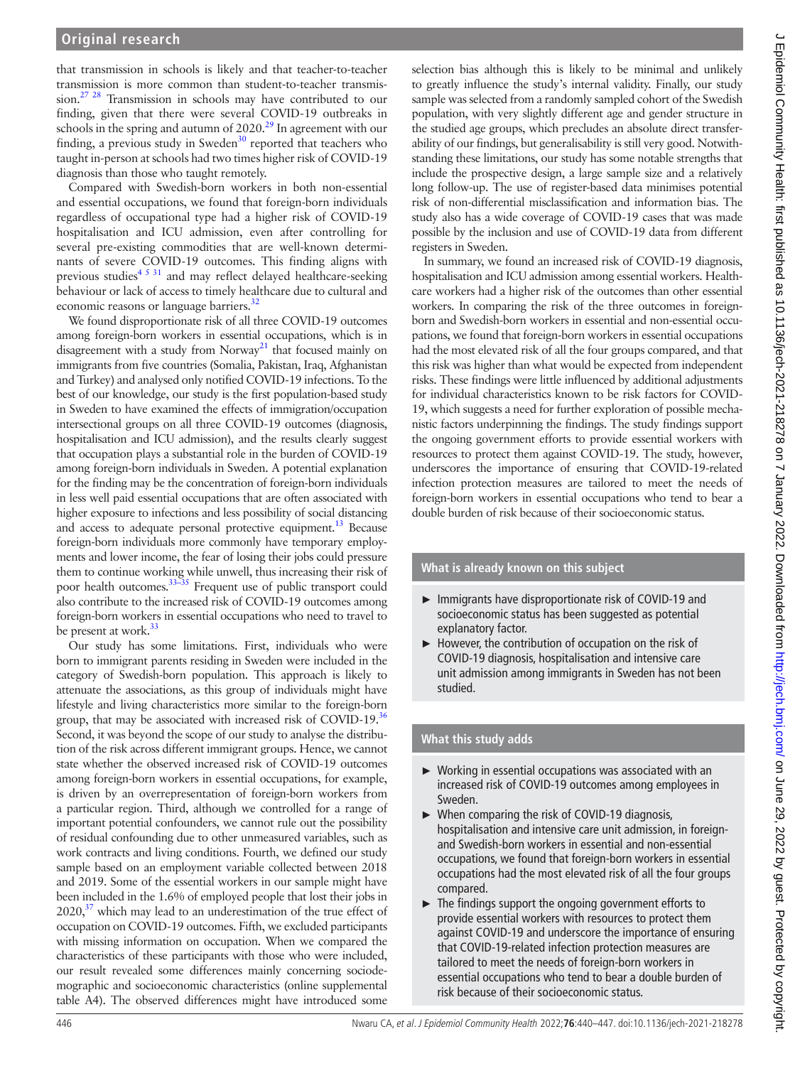that transmission in schools is likely and that teacher-to-teacher transmission is more common than student-to-teacher transmission.<sup>27</sup> <sup>28</sup> Transmission in schools may have contributed to our finding, given that there were several COVID-19 outbreaks in schools in the spring and autumn of 2020.<sup>29</sup> In agreement with our finding, a previous study in Sweden<sup>30</sup> reported that teachers who taught in-person at schools had two times higher risk of COVID-19 diagnosis than those who taught remotely.

Compared with Swedish-born workers in both non-essential and essential occupations, we found that foreign-born individuals regardless of occupational type had a higher risk of COVID-19 hospitalisation and ICU admission, even after controlling for several pre-existing commodities that are well-known determinants of severe COVID-19 outcomes. This finding aligns with previous studies<sup>[4 5 31](#page-7-20)</sup> and may reflect delayed healthcare-seeking behaviour or lack of access to timely healthcare due to cultural and economic reasons or language barriers.<sup>32</sup>

We found disproportionate risk of all three COVID-19 outcomes among foreign-born workers in essential occupations, which is in disagreement with a study from  $Norway<sup>21</sup>$  that focused mainly on immigrants from five countries (Somalia, Pakistan, Iraq, Afghanistan and Turkey) and analysed only notified COVID-19 infections. To the best of our knowledge, our study is the first population-based study in Sweden to have examined the effects of immigration/occupation intersectional groups on all three COVID-19 outcomes (diagnosis, hospitalisation and ICU admission), and the results clearly suggest that occupation plays a substantial role in the burden of COVID-19 among foreign-born individuals in Sweden. A potential explanation for the finding may be the concentration of foreign-born individuals in less well paid essential occupations that are often associated with higher exposure to infections and less possibility of social distancing and access to adequate personal protective equipment.<sup>13</sup> Because foreign-born individuals more commonly have temporary employments and lower income, the fear of losing their jobs could pressure them to continue working while unwell, thus increasing their risk of poor health outcomes.[33–35](#page-7-23) Frequent use of public transport could also contribute to the increased risk of COVID-19 outcomes among foreign-born workers in essential occupations who need to travel to be present at work.<sup>[33](#page-7-23)</sup>

Our study has some limitations. First, individuals who were born to immigrant parents residing in Sweden were included in the category of Swedish-born population. This approach is likely to attenuate the associations, as this group of individuals might have lifestyle and living characteristics more similar to the foreign-born group, that may be associated with increased risk of COVID-19.<sup>36</sup> Second, it was beyond the scope of our study to analyse the distribution of the risk across different immigrant groups. Hence, we cannot state whether the observed increased risk of COVID-19 outcomes among foreign-born workers in essential occupations, for example, is driven by an overrepresentation of foreign-born workers from a particular region. Third, although we controlled for a range of important potential confounders, we cannot rule out the possibility of residual confounding due to other unmeasured variables, such as work contracts and living conditions. Fourth, we defined our study sample based on an employment variable collected between 2018 and 2019. Some of the essential workers in our sample might have been included in the 1.6% of employed people that lost their jobs in  $2020$ ,<sup>37</sup> which may lead to an underestimation of the true effect of occupation on COVID-19 outcomes. Fifth, we excluded participants with missing information on occupation. When we compared the characteristics of these participants with those who were included, our result revealed some differences mainly concerning sociodemographic and socioeconomic characteristics [\(online supplemental](https://dx.doi.org/10.1136/jech-2021-218278)  [table A4\)](https://dx.doi.org/10.1136/jech-2021-218278). The observed differences might have introduced some

selection bias although this is likely to be minimal and unlikely to greatly influence the study's internal validity. Finally, our study sample was selected from a randomly sampled cohort of the Swedish population, with very slightly different age and gender structure in the studied age groups, which precludes an absolute direct transferability of our findings, but generalisability is still very good. Notwithstanding these limitations, our study has some notable strengths that include the prospective design, a large sample size and a relatively long follow-up. The use of register-based data minimises potential risk of non-differential misclassification and information bias. The study also has a wide coverage of COVID-19 cases that was made possible by the inclusion and use of COVID-19 data from different registers in Sweden.

In summary, we found an increased risk of COVID-19 diagnosis, hospitalisation and ICU admission among essential workers. Healthcare workers had a higher risk of the outcomes than other essential workers. In comparing the risk of the three outcomes in foreignborn and Swedish-born workers in essential and non-essential occupations, we found that foreign-born workers in essential occupations had the most elevated risk of all the four groups compared, and that this risk was higher than what would be expected from independent risks. These findings were little influenced by additional adjustments for individual characteristics known to be risk factors for COVID-19, which suggests a need for further exploration of possible mechanistic factors underpinning the findings. The study findings support the ongoing government efforts to provide essential workers with resources to protect them against COVID-19. The study, however, underscores the importance of ensuring that COVID-19-related infection protection measures are tailored to meet the needs of foreign-born workers in essential occupations who tend to bear a double burden of risk because of their socioeconomic status.

# **What is already known on this subject**

- ► Immigrants have disproportionate risk of COVID-19 and socioeconomic status has been suggested as potential explanatory factor.
- ► However, the contribution of occupation on the risk of COVID-19 diagnosis, hospitalisation and intensive care unit admission among immigrants in Sweden has not been studied.

# **What this study adds**

- ► Working in essential occupations was associated with an increased risk of COVID-19 outcomes among employees in Sweden.
- ► When comparing the risk of COVID-19 diagnosis, hospitalisation and intensive care unit admission, in foreignand Swedish-born workers in essential and non-essential occupations, we found that foreign-born workers in essential occupations had the most elevated risk of all the four groups compared.
- ► The findings support the ongoing government efforts to provide essential workers with resources to protect them against COVID-19 and underscore the importance of ensuring that COVID-19-related infection protection measures are tailored to meet the needs of foreign-born workers in essential occupations who tend to bear a double burden of risk because of their socioeconomic status.